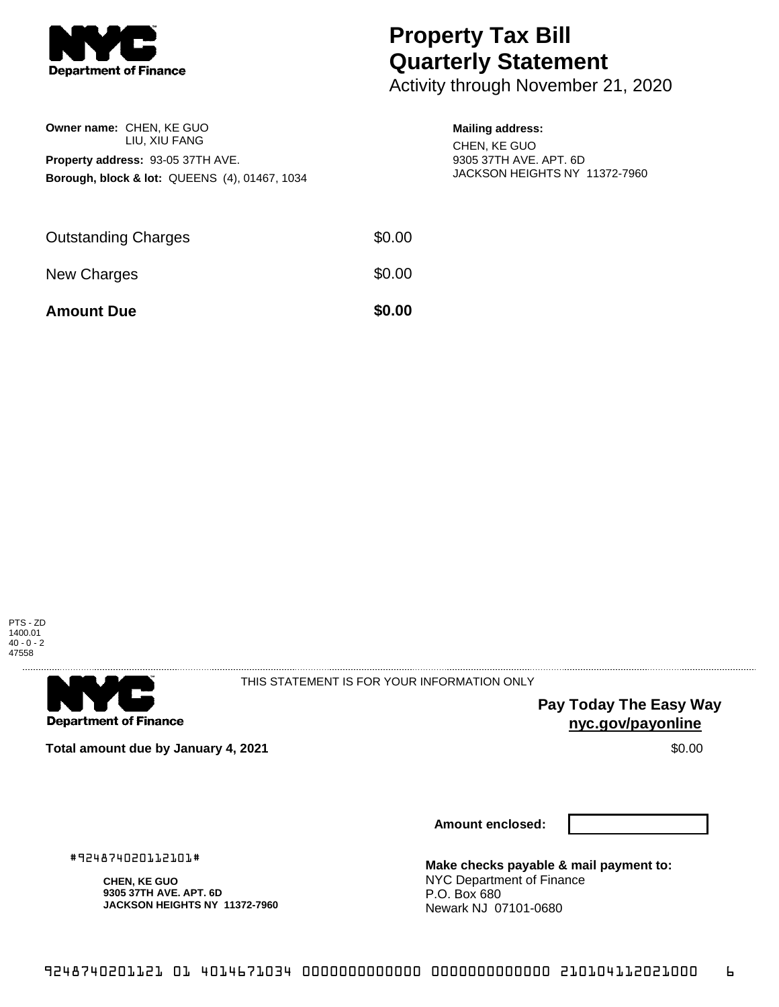

**Owner name:** CHEN, KE GUO

**Property address:** 93-05 37TH AVE.

LIU, XIU FANG

**Borough, block & lot:** QUEENS (4), 01467, 1034

## **Property Tax Bill Quarterly Statement**

Activity through November 21, 2020

## **Mailing address:**

CHEN, KE GUO 9305 37TH AVE. APT. 6D JACKSON HEIGHTS NY 11372-7960

| <b>Amount Due</b>          | \$0.00 |
|----------------------------|--------|
| New Charges                | \$0.00 |
| <b>Outstanding Charges</b> | \$0.00 |





THIS STATEMENT IS FOR YOUR INFORMATION ONLY

**Pay Today The Easy Way nyc.gov/payonline**

**Total amount due by January 4, 2021** \$0.00

**Amount enclosed:**

**Make checks payable & mail payment to:** NYC Department of Finance P.O. Box 680 Newark NJ 07101-0680

#924874020112101#

**CHEN, KE GUO 9305 37TH AVE. APT. 6D JACKSON HEIGHTS NY 11372-7960**

9248740201121 01 4014671034 0000000000000 0000000000000 210104112021000 6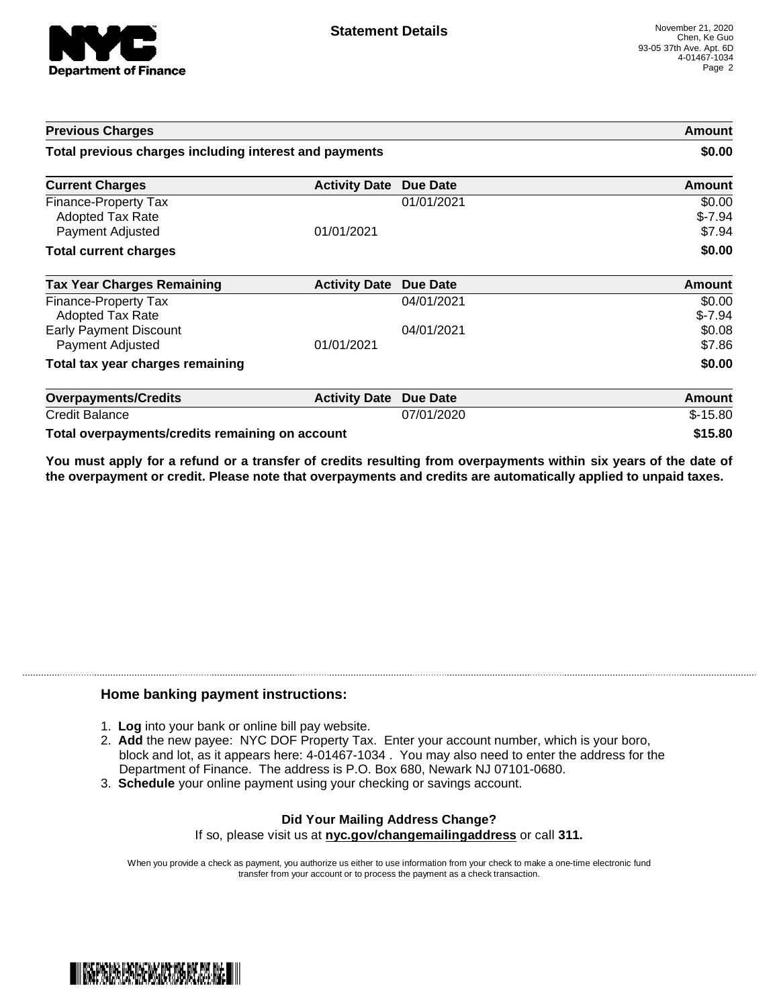

| <b>Previous Charges</b>                                             |                      | Amount<br>\$0.00 |                              |
|---------------------------------------------------------------------|----------------------|------------------|------------------------------|
| Total previous charges including interest and payments              |                      |                  |                              |
| <b>Current Charges</b>                                              | <b>Activity Date</b> | <b>Due Date</b>  | Amount                       |
| Finance-Property Tax<br><b>Adopted Tax Rate</b><br>Payment Adjusted | 01/01/2021           | 01/01/2021       | \$0.00<br>$$-7.94$<br>\$7.94 |
| <b>Total current charges</b>                                        |                      |                  | \$0.00                       |
| <b>Tax Year Charges Remaining</b>                                   | <b>Activity Date</b> | <b>Due Date</b>  | <b>Amount</b>                |
| Finance-Property Tax<br>Adopted Tax Rate                            |                      | 04/01/2021       | \$0.00<br>$$-7.94$           |
| <b>Early Payment Discount</b><br>Payment Adjusted                   | 01/01/2021           | 04/01/2021       | \$0.08<br>\$7.86             |
| Total tax year charges remaining                                    |                      |                  | \$0.00                       |
| <b>Overpayments/Credits</b>                                         | <b>Activity Date</b> | <b>Due Date</b>  | Amount                       |
| <b>Credit Balance</b>                                               |                      | 07/01/2020       | $$-15.80$                    |
| Total overpayments/credits remaining on account                     |                      |                  | \$15.80                      |

You must apply for a refund or a transfer of credits resulting from overpayments within six years of the date of **the overpayment or credit. Please note that overpayments and credits are automatically applied to unpaid taxes.**

## **Home banking payment instructions:**

- 1. **Log** into your bank or online bill pay website.
- 2. **Add** the new payee: NYC DOF Property Tax. Enter your account number, which is your boro, block and lot, as it appears here: 4-01467-1034 . You may also need to enter the address for the Department of Finance. The address is P.O. Box 680, Newark NJ 07101-0680.
- 3. **Schedule** your online payment using your checking or savings account.

## **Did Your Mailing Address Change?** If so, please visit us at **nyc.gov/changemailingaddress** or call **311.**

When you provide a check as payment, you authorize us either to use information from your check to make a one-time electronic fund transfer from your account or to process the payment as a check transaction.